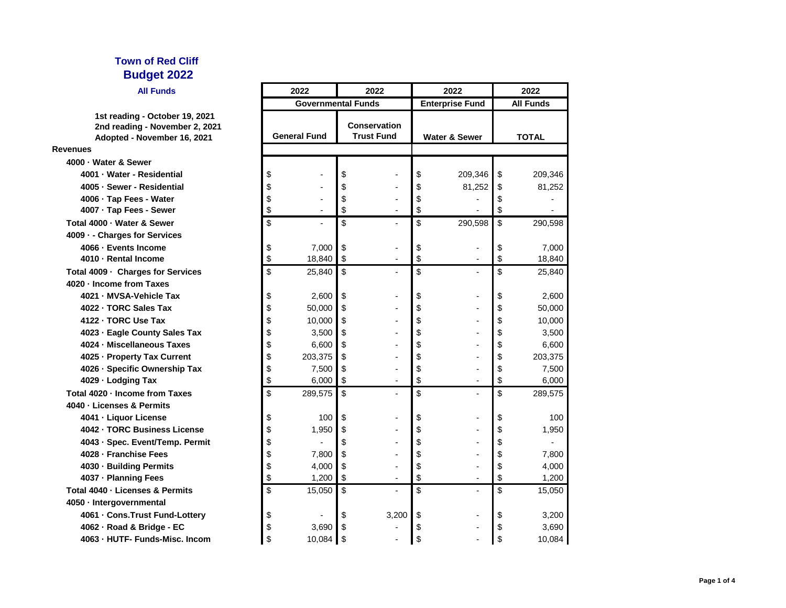### **All Funds**

|                                                                                                 |                     |                | סטוש ו שווסיטט                           |       | Elitei prise Fullu       |                | AII FUIIUS   |         |
|-------------------------------------------------------------------------------------------------|---------------------|----------------|------------------------------------------|-------|--------------------------|----------------|--------------|---------|
| 1st reading - October 19, 2021<br>2nd reading - November 2, 2021<br>Adopted - November 16, 2021 | <b>General Fund</b> |                | <b>Conservation</b><br><b>Trust Fund</b> |       | <b>Water &amp; Sewer</b> |                | <b>TOTAL</b> |         |
| <b>Revenues</b>                                                                                 |                     |                |                                          |       |                          |                |              |         |
| 4000 - Water & Sewer                                                                            |                     |                |                                          |       |                          |                |              |         |
| 4001 - Water - Residential                                                                      | \$                  |                | \$                                       |       | \$                       | 209,346        | \$           | 209,346 |
| 4005 - Sewer - Residential                                                                      | \$                  |                | \$                                       |       | \$                       | 81,252         | \$           | 81,252  |
| 4006 · Tap Fees - Water                                                                         | \$                  |                | \$                                       |       | \$                       |                | \$           |         |
| 4007 · Tap Fees - Sewer                                                                         | \$                  |                | \$                                       |       | \$                       |                | \$           |         |
| Total 4000 - Water & Sewer                                                                      | \$                  |                | \$                                       |       | \$                       | 290,598        | \$           | 290,598 |
| 4009 - - Charges for Services                                                                   |                     |                |                                          |       |                          |                |              |         |
| 4066 - Events Income                                                                            | \$                  | 7,000          | \$                                       |       | \$                       |                | \$           | 7,000   |
| 4010 - Rental Income                                                                            | \$                  | 18,840         | \$                                       |       | \$                       |                | \$           | 18,840  |
| Total 4009 · Charges for Services                                                               | \$                  | 25,840         | \$                                       |       | \$                       |                | \$           | 25,840  |
| 4020 - Income from Taxes                                                                        |                     |                |                                          |       |                          |                |              |         |
| 4021 - MVSA-Vehicle Tax                                                                         | \$                  | 2,600          | \$                                       |       | \$                       |                | \$           | 2,600   |
| 4022 - TORC Sales Tax                                                                           | \$                  | 50,000         | \$                                       |       | \$                       |                | \$           | 50,000  |
| 4122 - TORC Use Tax                                                                             | \$                  | 10,000         | \$                                       |       | \$                       |                | \$           | 10,000  |
| 4023 - Eagle County Sales Tax                                                                   | \$                  | 3,500          | \$                                       |       | \$                       |                | \$           | 3,500   |
| 4024 - Miscellaneous Taxes                                                                      | \$                  | 6,600          | \$                                       |       | \$                       |                | \$           | 6,600   |
| 4025 - Property Tax Current                                                                     | \$                  | 203,375        | \$                                       |       | \$                       |                | \$           | 203,375 |
| 4026 - Specific Ownership Tax                                                                   | \$                  | 7,500          | \$                                       |       | \$                       |                | \$           | 7,500   |
| 4029 · Lodging Tax                                                                              | \$                  | 6,000          | \$                                       |       | \$                       | $\blacksquare$ | \$           | 6,000   |
| Total 4020 - Income from Taxes                                                                  | \$                  | 289,575        | \$                                       |       | \$                       |                | \$           | 289,575 |
| 4040 - Licenses & Permits                                                                       |                     |                |                                          |       |                          |                |              |         |
| 4041 - Liquor License                                                                           | \$                  | 100            | \$                                       |       | \$                       |                | \$           | 100     |
| 4042 - TORC Business License                                                                    | \$                  | 1,950          | \$                                       |       | \$                       |                | \$           | 1,950   |
| 4043 - Spec. Event/Temp. Permit                                                                 | \$                  |                | \$                                       |       | \$                       |                | \$           |         |
| 4028 - Franchise Fees                                                                           | \$                  | 7,800          | \$                                       |       | \$                       |                | \$           | 7,800   |
| 4030 - Building Permits                                                                         | \$                  | 4,000          | \$                                       |       | \$                       |                | \$           | 4,000   |
| 4037 - Planning Fees                                                                            | \$                  | 1,200          | \$                                       |       | \$                       | $\blacksquare$ | \$           | 1,200   |
| Total 4040 - Licenses & Permits                                                                 | \$                  | 15,050         | \$                                       |       | \$                       | $\overline{a}$ | \$           | 15,050  |
| 4050 - Intergovernmental                                                                        |                     |                |                                          |       |                          |                |              |         |
| 4061 - Cons. Trust Fund-Lottery                                                                 | \$                  | $\blacksquare$ | \$                                       | 3,200 | \$                       |                | \$           | 3,200   |
| 4062 - Road & Bridge - EC                                                                       | \$                  | 3,690          | \$                                       |       | \$                       |                | \$           | 3,690   |
| 4063 - HUTF- Funds-Misc. Incom                                                                  | \$                  | 10,084         | \$                                       |       | \$                       |                | \$           | 10,084  |
|                                                                                                 |                     |                |                                          |       |                          |                |              |         |

|    | 2022                      |          | 2022                                     | 2022                     |                        | 2022         |                  |
|----|---------------------------|----------|------------------------------------------|--------------------------|------------------------|--------------|------------------|
|    | <b>Governmental Funds</b> |          |                                          |                          | <b>Enterprise Fund</b> |              | <b>All Funds</b> |
|    | <b>General Fund</b>       |          | <b>Conservation</b><br><b>Trust Fund</b> | <b>Water &amp; Sewer</b> |                        | <b>TOTAL</b> |                  |
|    |                           |          |                                          |                          |                        |              |                  |
| \$ |                           | \$       |                                          | \$                       | 209,346                | \$           | 209,346          |
| \$ |                           | \$       |                                          | \$                       | 81,252                 | \$           | 81,252           |
| \$ |                           | \$       |                                          | \$                       |                        | \$           |                  |
| \$ |                           | \$       |                                          | \$                       |                        | \$           |                  |
| \$ |                           | \$       |                                          | \$                       | 290,598                | \$           | 290,598          |
| \$ | 7,000                     | \$       |                                          | \$                       |                        | \$           | 7,000            |
| \$ | 18,840                    | \$       |                                          | \$                       |                        | \$           | 18,840           |
| \$ | 25,840                    | \$       |                                          | \$                       |                        | \$           | 25,840           |
| \$ | 2,600                     | \$       |                                          | \$                       |                        | \$           | 2,600            |
| \$ | 50,000                    | \$       |                                          | \$                       |                        | \$           | 50,000           |
| \$ | 10,000                    | \$       |                                          | \$                       |                        | \$           | 10,000           |
| \$ | 3,500                     | \$       |                                          | \$                       |                        | \$           | 3,500            |
| \$ | 6,600                     | \$       |                                          | \$                       |                        | \$           | 6,600            |
| \$ | 203,375                   | \$       |                                          | \$                       |                        | \$           | 203,375          |
| \$ | 7,500                     | \$       |                                          | \$                       |                        | \$           | 7,500            |
| \$ | 6,000                     | \$       |                                          | \$                       |                        | \$           | 6,000            |
| \$ | 289,575                   | \$       |                                          | \$                       |                        | \$           | 289,575          |
| \$ | 100                       | \$       |                                          | \$                       |                        | \$           | 100              |
| \$ | 1,950                     | \$       |                                          | \$                       |                        | \$           | 1,950            |
| \$ |                           | \$       |                                          | \$                       |                        | \$           |                  |
| \$ | 7,800                     | \$       |                                          | \$                       |                        | \$           | 7,800            |
| \$ | 4,000                     | \$       |                                          | \$                       |                        | \$           | 4,000            |
| \$ | 1,200                     | \$       |                                          | \$                       |                        | \$           | 1,200            |
| \$ | 15,050                    | \$       |                                          | \$                       |                        | \$           | 15,050           |
| \$ |                           | \$       | 3,200                                    | \$                       |                        | \$           | 3,200            |
| \$ | 3,690                     | \$       |                                          | \$                       |                        | \$           | 3,690            |
| ሶ  | 0.004                     | <b>↑</b> |                                          | ሖ                        |                        |              | 10.001           |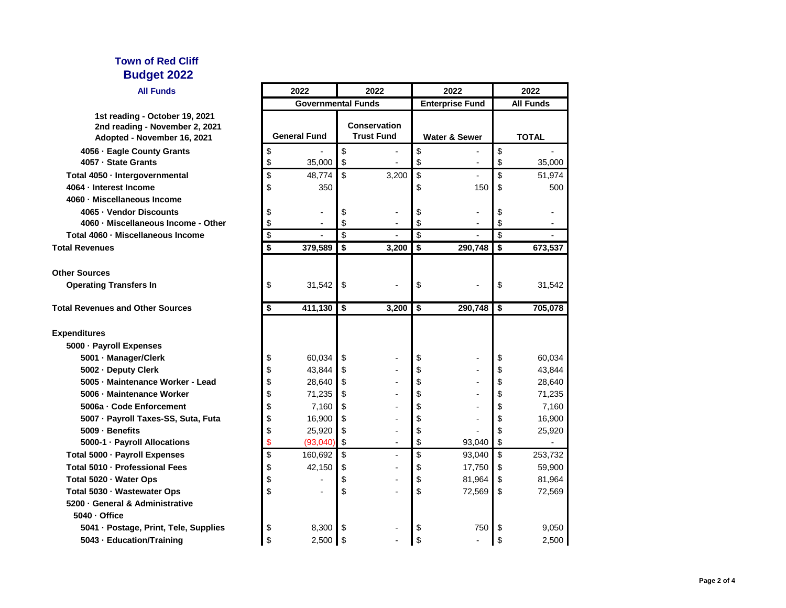| <b>All Funds</b>                                                                                | 2022                      |            | 2022                                     |       | 2022                     |                | 2022             |         |
|-------------------------------------------------------------------------------------------------|---------------------------|------------|------------------------------------------|-------|--------------------------|----------------|------------------|---------|
|                                                                                                 | <b>Governmental Funds</b> |            |                                          |       | <b>Enterprise Fund</b>   |                | <b>All Funds</b> |         |
| 1st reading - October 19, 2021<br>2nd reading - November 2, 2021<br>Adopted - November 16, 2021 | <b>General Fund</b>       |            | <b>Conservation</b><br><b>Trust Fund</b> |       | <b>Water &amp; Sewer</b> |                | <b>TOTAL</b>     |         |
| 4056 - Eagle County Grants                                                                      | \$                        |            | \$                                       |       | \$                       |                | \$               |         |
| 4057 - State Grants                                                                             | \$                        | 35,000     | \$                                       |       | \$                       |                | \$               | 35,000  |
| Total 4050 · Intergovernmental                                                                  | \$                        | 48,774     | \$                                       | 3,200 | \$                       |                | \$               | 51,974  |
| 4064 - Interest Income                                                                          | \$                        | 350        |                                          |       | \$                       | 150            | \$               | 500     |
| 4060 - Miscellaneous Income                                                                     |                           |            |                                          |       |                          |                |                  |         |
| 4065 - Vendor Discounts                                                                         |                           |            | \$                                       |       |                          |                | \$               |         |
| 4060 - Miscellaneous Income - Other                                                             | \$                        |            | \$                                       |       | \$                       |                | \$               |         |
| Total 4060 · Miscellaneous Income                                                               | \$                        |            | \$                                       |       | \$                       |                | \$               |         |
| <b>Total Revenues</b>                                                                           | \$                        | 379,589    | \$                                       | 3,200 | \$                       | 290,748        | \$               | 673,537 |
| <b>Other Sources</b>                                                                            |                           |            |                                          |       |                          |                |                  |         |
| <b>Operating Transfers In</b>                                                                   | \$                        | 31,542     | \$                                       |       | \$                       |                | \$               | 31,542  |
| <b>Total Revenues and Other Sources</b>                                                         | \$                        | 411,130    | $\boldsymbol{\$}$                        | 3,200 | \$                       | 290,748        | \$               | 705,078 |
| <b>Expenditures</b>                                                                             |                           |            |                                          |       |                          |                |                  |         |
| 5000 · Payroll Expenses                                                                         |                           |            |                                          |       |                          |                |                  |         |
| 5001 - Manager/Clerk                                                                            | \$                        | 60,034     | \$                                       |       | \$                       |                | \$               | 60,034  |
| 5002 - Deputy Clerk                                                                             | \$                        | 43,844     | \$                                       |       | \$                       |                | \$               | 43,844  |
| 5005 - Maintenance Worker - Lead                                                                |                           | 28,640     | \$                                       |       | \$                       |                | \$               | 28,640  |
| 5006 - Maintenance Worker                                                                       | \$                        | 71,235     | \$                                       |       | \$                       |                | \$               | 71,235  |
| 5006a - Code Enforcement                                                                        | \$                        | 7,160      | \$                                       |       | \$                       |                | \$               | 7,160   |
| 5007 · Payroll Taxes-SS, Suta, Futa                                                             | \$                        | 16,900     | \$                                       |       | \$                       |                | \$               | 16,900  |
| 5009 - Benefits                                                                                 | \$                        | 25,920     | \$                                       |       | \$                       |                | \$               | 25,920  |
| 5000-1 - Payroll Allocations                                                                    |                           | (93,040)   | \$                                       |       | \$                       | 93,040         | \$               |         |
| Total 5000 · Payroll Expenses                                                                   | \$                        | 160,692    | \$                                       | -     | \$                       | 93,040         | \$               | 253,732 |
| Total 5010 · Professional Fees                                                                  | Φ                         | 42,150     | Φ                                        |       | Φ                        | 17,750 \$      |                  | 59,900  |
| Total 5020 · Water Ops                                                                          | \$                        |            | \$                                       |       | \$                       | 81,964         | - \$             | 81,964  |
| Total 5030 · Wastewater Ops                                                                     | \$                        |            | \$                                       |       | \$                       | 72,569         | -\$              | 72,569  |
| 5200 - General & Administrative                                                                 |                           |            |                                          |       |                          |                |                  |         |
| 5040 - Office                                                                                   |                           |            |                                          |       |                          |                |                  |         |
| 5041 · Postage, Print, Tele, Supplies                                                           | \$                        | 8,300      | \$                                       |       | \$                       | 750            | -\$              | 9,050   |
| 5043 · Education/Training                                                                       | \$                        | $2,500$ \$ |                                          |       | \$                       | $\blacksquare$ | \$               | 2,500   |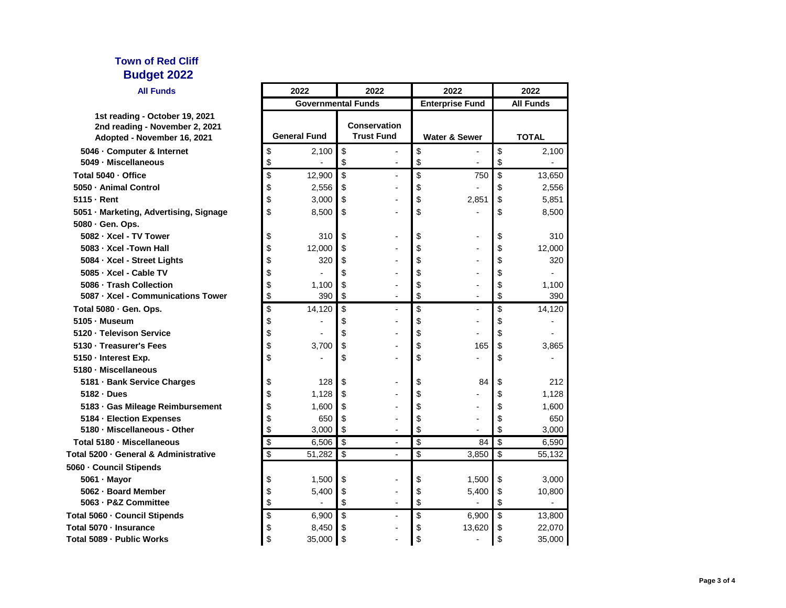| <b>All Funds</b>                                                                                |    | 2022                      | 2022                                     |                          | 2022                   | 2022         |                  |  |
|-------------------------------------------------------------------------------------------------|----|---------------------------|------------------------------------------|--------------------------|------------------------|--------------|------------------|--|
|                                                                                                 |    | <b>Governmental Funds</b> |                                          |                          | <b>Enterprise Fund</b> |              | <b>All Funds</b> |  |
| 1st reading - October 19, 2021<br>2nd reading - November 2, 2021<br>Adopted - November 16, 2021 |    | <b>General Fund</b>       | <b>Conservation</b><br><b>Trust Fund</b> | <b>Water &amp; Sewer</b> |                        | <b>TOTAL</b> |                  |  |
| 5046 - Computer & Internet                                                                      | \$ | 2,100                     | \$                                       | \$                       |                        | \$           | 2,100            |  |
| 5049 - Miscellaneous                                                                            | \$ |                           | \$                                       | \$                       |                        | \$           |                  |  |
| Total 5040 - Office                                                                             | \$ | 12,900                    | \$<br>٠                                  | \$                       | 750                    | \$           | 13,650           |  |
| 5050 - Animal Control                                                                           | \$ | 2,556                     | \$                                       | \$                       |                        | \$           | 2,556            |  |
| 5115 - Rent                                                                                     | \$ | 3,000                     | \$                                       | \$                       | 2,851                  | \$           | 5,851            |  |
| 5051 · Marketing, Advertising, Signage                                                          | \$ | 8,500                     | \$                                       | \$                       |                        | \$           | 8,500            |  |
| 5080 · Gen. Ops.                                                                                |    |                           |                                          |                          |                        |              |                  |  |
| 5082 - Xcel - TV Tower                                                                          | \$ | 310                       | \$                                       | \$                       |                        | \$           | 310              |  |
| 5083 - Xcel - Town Hall                                                                         | \$ | 12,000                    | \$                                       | \$                       |                        | \$           | 12,000           |  |
| 5084 · Xcel - Street Lights                                                                     | \$ | 320                       | \$                                       | \$                       |                        | \$           | 320              |  |
| 5085 - Xcel - Cable TV                                                                          | \$ |                           | \$                                       | \$                       |                        | \$           |                  |  |
| 5086 - Trash Collection                                                                         | \$ | 1,100                     | \$                                       | \$                       |                        | \$           | 1,100            |  |
| 5087 - Xcel - Communications Tower                                                              | \$ | 390                       | \$<br>$\blacksquare$                     | \$                       | ۰                      | \$           | 390              |  |
| Total 5080 · Gen. Ops.                                                                          | \$ | 14,120                    | \$                                       | \$                       |                        | \$           | 14,120           |  |
| 5105 - Museum                                                                                   | \$ |                           | \$                                       | \$                       |                        | \$           |                  |  |
| 5120 - Televison Service                                                                        | \$ |                           | \$                                       | \$                       |                        | \$           |                  |  |
| 5130 - Treasurer's Fees                                                                         | \$ | 3,700                     | \$                                       | \$                       | 165                    | \$           | 3,865            |  |
| 5150 - Interest Exp.                                                                            | \$ |                           | \$                                       | \$                       |                        | \$           |                  |  |
| 5180 - Miscellaneous                                                                            |    |                           |                                          |                          |                        |              |                  |  |
| 5181 · Bank Service Charges                                                                     | \$ | 128                       | \$                                       | \$                       | 84                     | \$           | 212              |  |
| 5182 - Dues                                                                                     | \$ | 1,128                     | \$                                       | \$                       |                        | \$           | 1,128            |  |
| 5183 · Gas Mileage Reimbursement                                                                | \$ | 1,600                     | \$                                       | \$                       |                        | \$           | 1,600            |  |
| 5184 - Election Expenses                                                                        | \$ | 650                       | \$                                       | \$                       |                        | \$           | 650              |  |
| 5180 · Miscellaneous - Other                                                                    | \$ | 3,000                     | \$                                       | \$                       |                        | \$           | 3,000            |  |
| Total 5180 - Miscellaneous                                                                      | \$ | 6,506                     | \$<br>$\overline{\phantom{a}}$           | \$                       | 84                     | \$           | 6,590            |  |
| Total 5200 - General & Administrative                                                           | \$ | 51,282                    | \$<br>$\overline{\phantom{0}}$           | \$                       | 3,850                  | \$           | 55,132           |  |
| 5060 - Council Stipends                                                                         |    |                           |                                          |                          |                        |              |                  |  |
| 5061 - Mayor                                                                                    | \$ | 1,500                     | \$                                       | \$                       | 1,500                  | \$           | 3,000            |  |
| 5062 - Board Member                                                                             | \$ | 5,400                     | \$                                       | \$                       | 5,400                  | \$           | 10,800           |  |
| 5063 - P&Z Committee                                                                            | \$ |                           | \$                                       | \$                       |                        | \$           |                  |  |
| Total 5060 - Council Stipends                                                                   | \$ | 6,900                     | \$                                       | \$                       | 6,900                  | \$           | 13,800           |  |
| Total 5070 · Insurance                                                                          | \$ | 8,450                     | \$                                       | \$                       | 13,620                 | \$           | 22,070           |  |
| Total 5089 - Public Works                                                                       | \$ | 35,000                    | \$                                       | \$                       |                        | \$           | 35,000           |  |